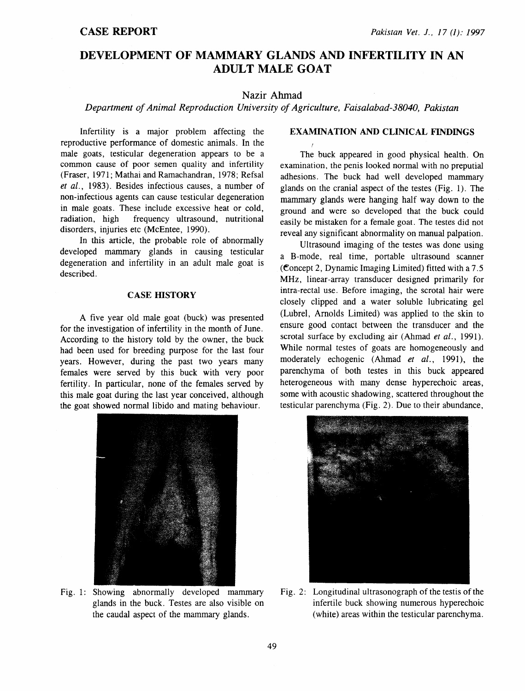# DEVELOPMENT OF MAMMARY GLANDS AND INFERTILITY IN AN ADULT MALE GOAT

## Nazir Ahmad

*Department of Animal Reproduction University of Agriculture, Faisalabad-38040, Pakistan* 

Infertility is a major problem affecting the reproductive performance of domestic animals. In the male goats, testicular degeneration appears to be a common cause of poor semen quality and infertility (Fraser, 1971; Mathai and Ramachandran, 1978; Refsal *et al.,* 1983). Besides infectious causes, a number of non-infectious agents can cause testicular degeneration in male goats. These include excessive heat or cold, radiation, high frequency ultrasound, nutritional disorders, injuries etc (McEntee, 1990).

In this article, the probable role of abnormally developed mammary glands in causing testicular degeneration and infertility in an adult male goat is described.

#### **CASE HISTORY**

A five year old male goat (buck) was presented for the investigation of infertility in the month of June. According to the history told by the owner, the buck had been used for breeding purpose for the last four years. However, during the past two years many females were served by this buck with very poor fertility. In particular, none of the females served by this male goat during the last year conceived, although the goat showed normal libido and mating behaviour.



Fig. 1: Showing abnormally developed mammary glands in the buck. Testes are also visible on the caudal aspect of the mammary glands.

## EXAMINATION AND CLINICAL FINDINGS

The buck appeared in good physical health. On examination, the penis looked normal with no preputial adhesions. The buck had well developed mammary glands on the cranial aspect of the testes (Fig. 1). The mammary glands were hanging half way down to the ground and were so developed that the buck could easily be mistaken for a female goat. The testes did not reveal any significant abnormality on manual palpation.

Ultrasound imaging of the testes was done using a B-mode, real time, portable ultrasound scanner (Concept 2, Dynamic Imaging Limited) fitted with a  $7.5$ MHz, linear-array transducer designed primarily for intra-rectal use. Before imaging, the scrotal hair were closely clipped and a water soluble lubricating gel (Lubrel, Arnolds Limited) was applied to the skin to ensure good contact between the transducer and the scrotal surface by excluding air (Ahmad *et al.,* 1991). While normal testes of goats are homogeneously and moderately echogenic (Ahmad *et al.,* 1991), the parenchyma of both testes in this buck appeared heterogeneous with many dense hyperechoic areas, some with acoustic shadowing, scattered throughout the testicular parenchyma (Fig. 2). Due to their abundance,



Fig. 2: Longitudinal ultrasonograph of the testis of the infertile buck showing numerous hyperechoic (white) areas within the testicular parenchyma.